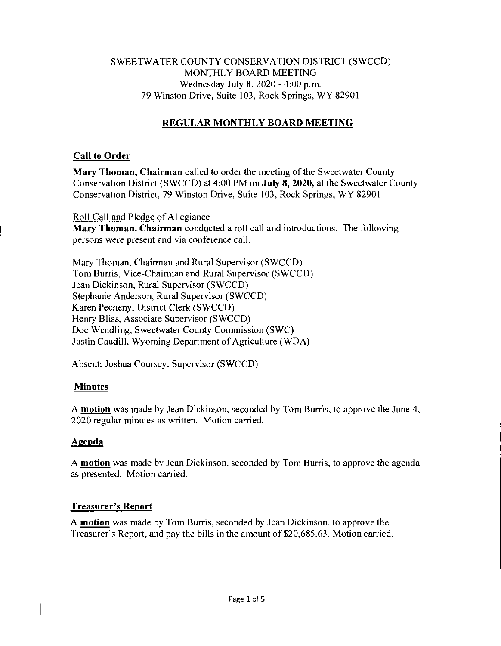# SWEETWATER COUNTY CONSERVATION DISTRICT (SWCCD) MONTHLY BOARD MEETING Wednesday July 8, 2020 - 4:00 p.m. 79 Winston Drive, Suite 103, Rock Springs, WY 82901

# **REGULAR MONTHLY BOARD MEETING**

# **Call to Order**

**Mary Thoman, Chairman** called to order the meeting of the Sweetwater County Conservation District (SWCCD) at 4:00 PM on **July 8, 2020,** at the Sweetwater County Conservation District, 79 Winston Drive, Suite 103, Rock Springs, WY 82901

#### Roll Call and Pledge of Allegiance

**Mary Thoman, Chairman** conducted a roll call and introductions. The following persons were present and via conference call.

Mary Thoman, Chairman and Rural Supervisor (SWCCD) Tom Burris, Vice-Chairman and Rural Supervisor (SWCCD) Jean Dickinson, Rural Supervisor (SWCCD) Stephanie Anderson, Rural Supervisor (SWCCD) Karen Pecheny, District Clerk (SWCCD) Henry Bliss, Associate Supervisor (SWCCD) Doc Wendling, Sweetwater County Commission (SWC) Justin Caudill, Wyoming Department of Agriculture (WDA)

Absent: Joshua Coursey, Supervisor (SWCCD)

# **Minutes**

A **motion** was made by Jean Dickinson, seconded by Tom Burris, to approve the June 4, 2020 regular minutes as written. Motion carried.

# **Azenda**

A **motion** was made by Jean Dickinson, seconded by Tom Burris. to approve the agenda as presented. Motion carried.

# **Treasurer's Report**

A **motion** was made by Tom Burris, seconded by Jean Dickinson, to approve the Treasurer's Report, and pay the bills in the amount of \$20,685.63. Motion carried.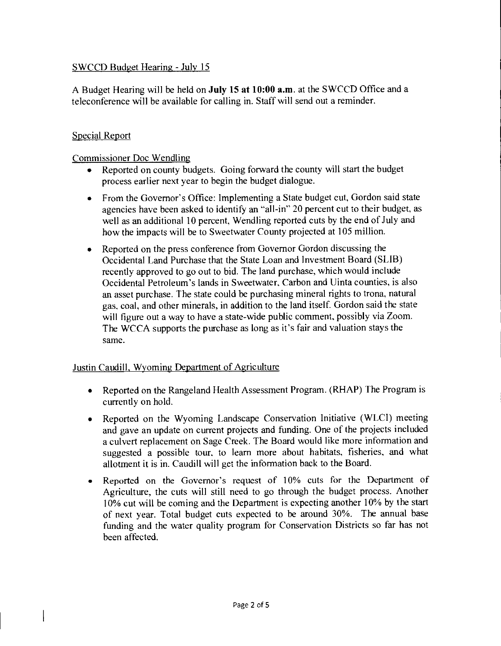# SWCCD Budget Hearing - July 15

A Budget Hearing will be held on July 15 at 10:00 a.m. at the SWCCD Office and a teleconference will be available for calling in. Staff will send out a reminder.

# Special Report

Commissioner Doc Wendling

- Reported on county budgets. Going forward the county will start the budget process earlier next year to begin the budget dialogue.
- From the Governor's Office: Implementing a State budget cut, Gordon said state agencies have been asked to identify an "all-in" 20 percent cut to their budget, as well as an additional 10 percent, Wendling reported cuts by the end of July and how the impacts will be to Sweetwater County projected at 105 million.
- Reported on the press conference from Governor Gordon discussing the Occidental Land Purchase that the State Loan and Investment Board (SLIB) recently approved to go out to bid. The land purchase, which would include Occidental Petroleum's lands in Sweetwater, Carbon and Uinta counties, is also an asset purchase. The state could be purchasing mineral rights to trona, natural gas, coal, and other minerals, in addition to the land itself. Gordon said the state will figure out a way to have a state-wide public comment, possibly via Zoom. The WCCA supports the purchase as long as it's fair and valuation stays the same.

# Justin Caudill, Wyoming Department of Agriculture

- Reported on the Rangeland Health Assessment Program. (RHAP) The Program is currently on hold.
- Reported on the Wyoming Landscape Conservation Initiative (WLCI) meeting and gave an update on current projects and funding. One of the projects included a culvert replacement on Sage Creek. The Board would like more information and suggested a possible tour, to learn more about habitats, fisheries, and what allotment it is in. Caudill will get the information back to the Board.
- Reported on the Governor's request of 10% cuts for the Department of Agriculture, the cuts will still need to go through the budget process. Another 10% cut will be coming and the Department is expecting another 10% by the start of next year. Total budget cuts expected to be around 30%. The annual base funding and the water quality program for Conservation Districts so far has not been affected.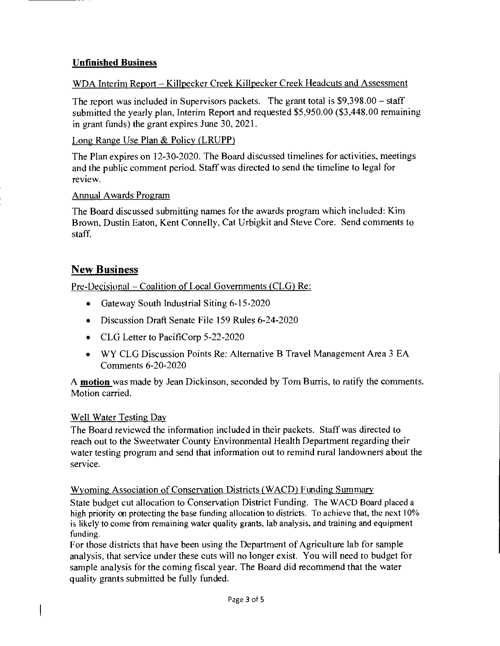# **Unfinished Business**

# WDA Interim Report — Killpecker Creek Killpecker Creek Headcuts and Assessment

The report was included in Supervisors packets. The grant total is \$9,398.00 — staff submitted the yearly plan, Interim Report and requested \$5,950.00 (\$3,448.00 remaining in grant funds) the grant expires June 30, 2021.

#### Long Range Use Plan & Policy (LRUPP)

The Plan expires on 12-30-2020. The Board discussed timelines for activities, meetings and the public comment period. Staff was directed to send the timeline to legal for review.

#### Annual Awards Program

The Board discussed submitting names for the awards program which included: Kim Brown, Dustin Eaton, Kent Connelly, Cat Urbigkit and Steve Core. Send comments to staff.

# New Business

Pre-Decisional — Coalition of Local Governments (CLG) Re:

- Gateway South Industrial Siting 6-15-2020
- Discussion Draft Senate File 159 Rules 6-24-2020
- CLG Letter to PacifiCorp 5-22-2020
- WY CLG Discussion Points Re: Alternative B Travel Management Area 3 EA Comments 6-20-2020

A **motion** was made by Jean Dickinson, seconded by Tom Burris, to ratify the comments. Motion carried.

# Well Water Testing Day

The Board reviewed the information included in their packets. Staff was directed to reach out to the Sweetwater County Environmental Health Department regarding their water testing program and send that information out to remind rural landowners about the service.

# Wyoming Association of Conservation Districts (WACD) Funding Summary

State budget cut allocation to Conservation District Funding. The WACD Board placed a high priority on protecting the base funding allocation to districts. To achieve that, the next **10%**  is likely to come from remaining water quality grants, lab analysis, and training and equipment funding.

For those districts that have been using the Department of Agriculture lab for sample analysis, that service under these cuts will no longer exist. You will need to budget for sample analysis for the coming fiscal year. The Board did recommend that the water quality grants submitted be fully funded.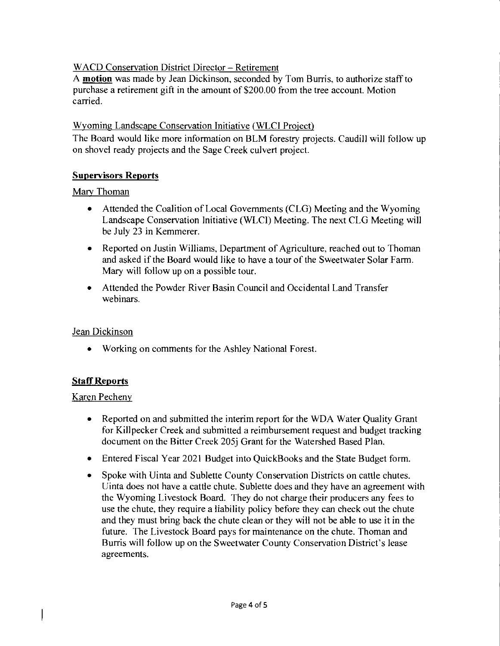# WACD Conservation District Director — Retirement

A **motion** was made by Jean Dickinson, seconded by Tom Burris, to authorize staff to purchase a retirement gift in the amount of \$200.00 from the tree account. Motion carried.

# Wyoming Landscape Conservation Initiative (WLC1 Project)

The Board would like more information on BLM forestry projects. Caudill will follow up on shovel ready projects and the Sage Creek culvert project.

# **Supervisors Reports**

#### Mary Thoman

- Attended the Coalition of Local Governments (CLG) Meeting and the Wyoming Landscape Conservation Initiative (WLCI) Meeting. The next CLG Meeting will be July 23 in Kemmerer.
- Reported on Justin Williams, Department of Agriculture, reached out to Thoman and asked if the Board would like to have a tour of the Sweetwater Solar Farm. Mary will follow up on a possible tour.
- Attended the Powder River Basin Council and Occidental Land Transfer webinars.

# Jean Dickinson

• Working on comments for the Ashley National Forest.

# **Staff Reports**

#### Karen Pecheny

- Reported on and submitted the interim report for the WDA Water Quality Grant for Killpecker Creek and submitted a reimbursement request and budget tracking document on the Bitter Creek 205j Grant for the Watershed Based Plan.
- Entered Fiscal Year 2021 Budget into QuickBooks and the State Budget form.
- Spoke with Uinta and Sublette County Conservation Districts on cattle chutes. Uinta does not have a cattle chute. Sublette does and they have an agreement with the Wyoming Livestock Board. They do not charge their producers any fees to use the chute, they require a liability policy before they can check out the chute and they must bring back the chute clean or they will not be able to use it in the future. The Livestock Board pays for maintenance on the chute. Thoman and Burris will follow up on the Sweetwater County Conservation District's lease agreements.